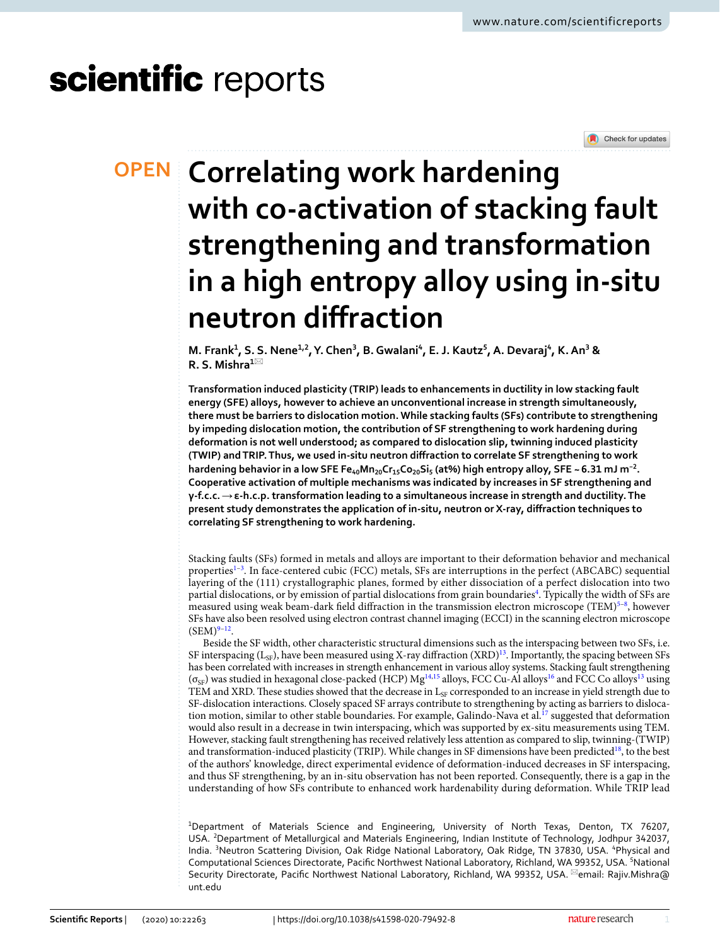# scientific reports



# **Correlating work hardening OPEN with co‑activation of stacking fault strengthening and transformation in a high entropy alloy using in‑situ neutron diffraction**

**M. Frank<sup>1</sup>, S. S. Nene<sup>1,2</sup>, Y. Chen<sup>3</sup>, B. Gwalani<sup>4</sup>, E. J. Kautz<sup>5</sup>, A. Devaraj<sup>4</sup>, K. An<sup>3</sup> & R. S. Mishra<sup>1</sup>**\*

**Transformation induced plasticity (TRIP) leads to enhancements in ductility in low stacking fault energy (SFE) alloys, however to achieve an unconventional increase in strength simultaneously, there must be barriers to dislocation motion. While stacking faults (SFs) contribute to strengthening by impeding dislocation motion, the contribution of SF strengthening to work hardening during deformation is not well understood; as compared to dislocation slip, twinning induced plasticity (TWIP) and TRIP. Thus, we used in‑situ neutron diffraction to correlate SF strengthening to work hardening behavior in a low SFE Fe40Mn20Cr15Co20Si<sup>5</sup> (at%) high entropy alloy, SFE ~ 6.31 mJ m−2 . Cooperative activation of multiple mechanisms was indicated by increases in SF strengthening and γ‑f.c.c.** → **ε‑h.c.p. transformation leading to a simultaneous increase in strength and ductility. The present study demonstrates the application of in‑situ, neutron or X‑ray, diffraction techniques to correlating SF strengthening to work hardening.**

Stacking faults (SFs) formed in metals and alloys are important to their deformation behavior and mechanical properties<sup>1-[3](#page-7-1)</sup>. In face-centered cubic (FCC) metals, SFs are interruptions in the perfect (ABCABC) sequential layering of the (111) crystallographic planes, formed by either dissociation of a perfect dislocation into two partial dislocations, or by emission of partial dislocations from grain boundaries<sup>[4](#page-7-2)</sup>. Typically the width of SFs are measured using weak beam-dark field diffraction in the transmission electron microscope (TEM)<sup>[5](#page-7-3)-8</sup>, however SFs have also been resolved using electron contrast channel imaging (ECCI) in the scanning electron microscope  $(SEM)^{9-12}$  $(SEM)^{9-12}$  $(SEM)^{9-12}$  $(SEM)^{9-12}$  $(SEM)^{9-12}$ .

Beside the SF width, other characteristic structural dimensions such as the interspacing between two SFs, i.e. SF interspacing  $(L_{SF})$ , have been measured using X-ray diffraction  $(XRD)^{13}$  $(XRD)^{13}$  $(XRD)^{13}$ . Importantly, the spacing between SFs has been correlated with increases in strength enhancement in various alloy systems. Stacking fault strengthening  $(\sigma_{SP})$  was studied in hexagonal close-packed (HCP) Mg<sup>[14](#page-8-0)[,15](#page-8-1)</sup> alloys, FCC Cu-Al alloys<sup>[16](#page-8-2)</sup> and FCC Co alloys<sup>[13](#page-7-7)</sup> using TEM and XRD. These studies showed that the decrease in  $L_{SF}$  corresponded to an increase in yield strength due to SF-dislocation interactions. Closely spaced SF arrays contribute to strengthening by acting as barriers to disloca-tion motion, similar to other stable boundaries. For example, Galindo-Nava et al.<sup>[17](#page-8-3)</sup> suggested that deformation would also result in a decrease in twin interspacing, which was supported by ex-situ measurements using TEM. However, stacking fault strengthening has received relatively less attention as compared to slip, twinning-(TWIP) and transformation-induced plasticity (TRIP). While changes in SF dimensions have been predicted<sup>[18](#page-8-4)</sup>, to the best of the authors' knowledge, direct experimental evidence of deformation-induced decreases in SF interspacing, and thus SF strengthening, by an in-situ observation has not been reported. Consequently, there is a gap in the understanding of how SFs contribute to enhanced work hardenability during deformation. While TRIP lead

<sup>1</sup>Department of Materials Science and Engineering, University of North Texas, Denton, TX 76207, USA. <sup>2</sup>Department of Metallurgical and Materials Engineering, Indian Institute of Technology, Jodhpur 342037, India. <sup>3</sup>Neutron Scattering Division, Oak Ridge National Laboratory, Oak Ridge, TN 37830, USA. <sup>4</sup>Physical and Computational Sciences Directorate, Pacific Northwest National Laboratory, Richland, WA 99352, USA. <sup>5</sup>National Security Directorate, Pacific Northwest National Laboratory, Richland, WA 99352, USA. <sup>Example</sup>ne Rajiv.Mishra@ unt.edu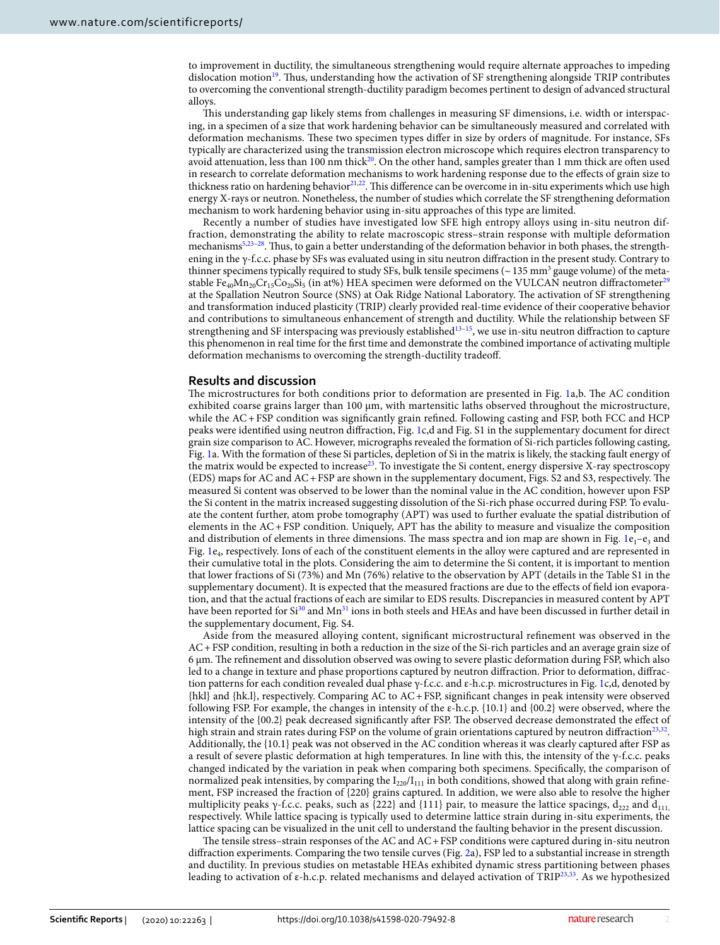to improvement in ductility, the simultaneous strengthening would require alternate approaches to impeding dislocation motion<sup>[19](#page-8-5)</sup>. Thus, understanding how the activation of SF strengthening alongside TRIP contributes to overcoming the conventional strength-ductility paradigm becomes pertinent to design of advanced structural alloys.

This understanding gap likely stems from challenges in measuring SF dimensions, i.e. width or interspacing, in a specimen of a size that work hardening behavior can be simultaneously measured and correlated with deformation mechanisms. These two specimen types differ in size by orders of magnitude. For instance, SFs typically are characterized using the transmission electron microscope which requires electron transparency to avoid attenuation, less than 100 nm thick<sup>[20](#page-8-6)</sup>. On the other hand, samples greater than 1 mm thick are often used in research to correlate deformation mechanisms to work hardening response due to the effects of grain size to thickness ratio on hardening behavior<sup>[21](#page-8-7),[22](#page-8-8)</sup>. This difference can be overcome in in-situ experiments which use high energy X-rays or neutron. Nonetheless, the number of studies which correlate the SF strengthening deformation mechanism to work hardening behavior using in-situ approaches of this type are limited.

Recently a number of studies have investigated low SFE high entropy alloys using in-situ neutron diffraction, demonstrating the ability to relate macroscopic stress–strain response with multiple deformation mechanisms[5](#page-7-3),[23](#page-8-9)[–28](#page-8-10). Thus, to gain a better understanding of the deformation behavior in both phases, the strengthening in the γ-f.c.c. phase by SFs was evaluated using in situ neutron diffraction in the present study. Contrary to thinner specimens typically required to study SFs, bulk tensile specimens ( $\sim$  135 mm<sup>3</sup> gauge volume) of the metastable Fe<sub>40</sub>Mn<sub>20</sub>Cr<sub>15</sub>Co<sub>20</sub>Si<sub>5</sub> (in at%) HEA specimen were deformed on the VULCAN neutron diffractometer<sup>25</sup> at the Spallation Neutron Source (SNS) at Oak Ridge National Laboratory. The activation of SF strengthening and transformation induced plasticity (TRIP) clearly provided real-time evidence of their cooperative behavior and contributions to simultaneous enhancement of strength and ductility. While the relationship between SF strengthening and SF interspacing was previously established<sup>[13](#page-7-7)-15</sup>, we use in-situ neutron diffraction to capture this phenomenon in real time for the first time and demonstrate the combined importance of activating multiple deformation mechanisms to overcoming the strength-ductility tradeoff.

### **Results and discussion**

The microstructures for both conditions prior to deformation are presented in Fig. [1](#page-2-0)a,b. The AC condition exhibited coarse grains larger than 100  $\mu$ m, with martensitic laths observed throughout the microstructure, while the AC + FSP condition was significantly grain refined. Following casting and FSP, both FCC and HCP peaks were identified using neutron diffraction, Fig. [1c](#page-2-0),d and Fig. S1 in the supplementary document for direct grain size comparison to AC. However, micrographs revealed the formation of Si-rich particles following casting, Fig. [1a](#page-2-0). With the formation of these Si particles, depletion of Si in the matrix is likely, the stacking fault energy of the matrix would be expected to increase<sup>[23](#page-8-9)</sup>. To investigate the Si content, energy dispersive X-ray spectroscopy (EDS) maps for AC and AC + FSP are shown in the supplementary document, Figs. S2 and S3, respectively. The measured Si content was observed to be lower than the nominal value in the AC condition, however upon FSP the Si content in the matrix increased suggesting dissolution of the Si-rich phase occurred during FSP. To evaluate the content further, atom probe tomography (APT) was used to further evaluate the spatial distribution of elements in the AC + FSP condition. Uniquely, APT has the ability to measure and visualize the composition and distribution of elements in three dimensions. The mass spectra and ion map are shown in Fig. [1](#page-2-0) $e_1 - e_3$  and Fig. [1e](#page-2-0)<sup>4</sup> , respectively. Ions of each of the constituent elements in the alloy were captured and are represented in their cumulative total in the plots. Considering the aim to determine the Si content, it is important to mention that lower fractions of Si (73%) and Mn (76%) relative to the observation by APT (details in the Table S1 in the supplementary document). It is expected that the measured fractions are due to the effects of field ion evaporation, and that the actual fractions of each are similar to EDS results. Discrepancies in measured content by APT have been reported for Si<sup>[30](#page-8-12)</sup> and Mn<sup>[31](#page-8-13)</sup> ions in both steels and HEAs and have been discussed in further detail in the supplementary document, Fig. S4.

Aside from the measured alloying content, significant microstructural refinement was observed in the AC + FSP condition, resulting in both a reduction in the size of the Si-rich particles and an average grain size of 6 µm. The refinement and dissolution observed was owing to severe plastic deformation during FSP, which also led to a change in texture and phase proportions captured by neutron diffraction. Prior to deformation, diffraction patterns for each condition revealed dual phase γ-f.c.c. and ε-h.c.p. microstructures in Fig. [1](#page-2-0)c,d, denoted by {hkl} and {hk.l}, respectively. Comparing AC to AC + FSP, significant changes in peak intensity were observed following FSP. For example, the changes in intensity of the ε-h.c.p. {10.1} and {00.2} were observed, where the intensity of the {00.2} peak decreased significantly after FSP. The observed decrease demonstrated the effect of high strain and strain rates during FSP on the volume of grain orientations captured by neutron diffraction<sup>[23](#page-8-9)[,32](#page-8-14)</sup>. Additionally, the {10.1} peak was not observed in the AC condition whereas it was clearly captured after FSP as a result of severe plastic deformation at high temperatures. In line with this, the intensity of the γ-f.c.c. peaks changed indicated by the variation in peak when comparing both specimens. Specifically, the comparison of normalized peak intensities, by comparing the  $I_{220}/I_{111}$  in both conditions, showed that along with grain refinement, FSP increased the fraction of {220} grains captured. In addition, we were also able to resolve the higher multiplicity peaks γ-f.c.c. peaks, such as {222} and {111} pair, to measure the lattice spacings,  $d_{222}$  and  $d_{111}$ , respectively. While lattice spacing is typically used to determine lattice strain during in-situ experiments, the lattice spacing can be visualized in the unit cell to understand the faulting behavior in the present discussion.

The tensile stress–strain responses of the AC and AC + FSP conditions were captured during in-situ neutron diffraction experiments. Comparing the two tensile curves (Fig. [2a](#page-3-0)), FSP led to a substantial increase in strength and ductility. In previous studies on metastable HEAs exhibited dynamic stress partitioning between phases leading to activation of ε-h.c.p. related mechanisms and delayed activation of TRIP<sup>[23](#page-8-9),[33](#page-8-15)</sup>. As we hypothesized

2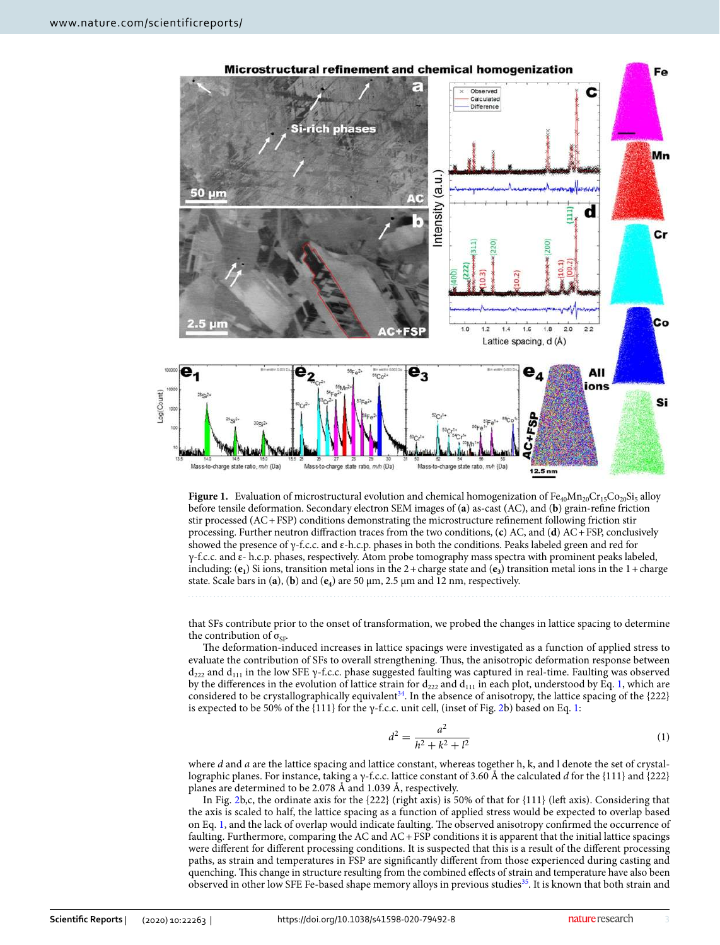

<span id="page-2-0"></span>**Figure 1.** Evaluation of microstructural evolution and chemical homogenization of  $Fe_{40}Mn_{20}Cr_{15}Co_{20}Si_5$  alloy before tensile deformation. Secondary electron SEM images of (**a**) as-cast (AC), and (**b**) grain-refine friction stir processed (AC + FSP) conditions demonstrating the microstructure refinement following friction stir processing. Further neutron diffraction traces from the two conditions, (**c**) AC, and (**d**) AC + FSP, conclusively showed the presence of γ-f.c.c. and ε-h.c.p. phases in both the conditions. Peaks labeled green and red for γ-f.c.c. and ε- h.c.p. phases, respectively. Atom probe tomography mass spectra with prominent peaks labeled, including: (**e<sup>1</sup>** ) Si ions, transition metal ions in the 2 + charge state and (**e<sup>3</sup>** ) transition metal ions in the 1 + charge state. Scale bars in (**a**), (**b**) and (**e<sup>4</sup>** ) are 50 μm, 2.5 μm and 12 nm, respectively.

that SFs contribute prior to the onset of transformation, we probed the changes in lattice spacing to determine the contribution of  $\sigma_{\text{SE}}$ .

The deformation-induced increases in lattice spacings were investigated as a function of applied stress to evaluate the contribution of SFs to overall strengthening. Thus, the anisotropic deformation response between  $d_{222}$  and  $d_{111}$  in the low SFE γ-f.c.c. phase suggested faulting was captured in real-time. Faulting was observed by the differences in the evolution of lattice strain for  $d_{222}$  and  $d_{111}$  in each plot, understood by Eq. [1,](#page-2-1) which are considered to be crystallographically equivalent[34](#page-8-16). In the absence of anisotropy, the lattice spacing of the {222} is expected to be 50% of the  $\{111\}$  for the  $\gamma$ -f.c.c. unit cell, (inset of Fig. [2b](#page-3-0)) based on Eq. [1:](#page-2-1)

<span id="page-2-1"></span>
$$
d^2 = \frac{a^2}{h^2 + k^2 + l^2} \tag{1}
$$

where *d* and *a* are the lattice spacing and lattice constant, whereas together h, k, and l denote the set of crystallographic planes. For instance, taking a γ-f.c.c. lattice constant of 3.60 Å the calculated d for the {111} and {222} planes are determined to be 2.078 Å and 1.039 Å, respectively.

In Fig. [2](#page-3-0)b,c, the ordinate axis for the {222} (right axis) is 50% of that for {111} (left axis). Considering that the axis is scaled to half, the lattice spacing as a function of applied stress would be expected to overlap based on Eq. [1](#page-2-1), and the lack of overlap would indicate faulting. The observed anisotropy confirmed the occurrence of faulting. Furthermore, comparing the AC and AC + FSP conditions it is apparent that the initial lattice spacings were different for different processing conditions. It is suspected that this is a result of the different processing paths, as strain and temperatures in FSP are significantly different from those experienced during casting and quenching. This change in structure resulting from the combined effects of strain and temperature have also been observed in other low SFE Fe-based shape memory alloys in previous studies<sup>[35](#page-8-17)</sup>. It is known that both strain and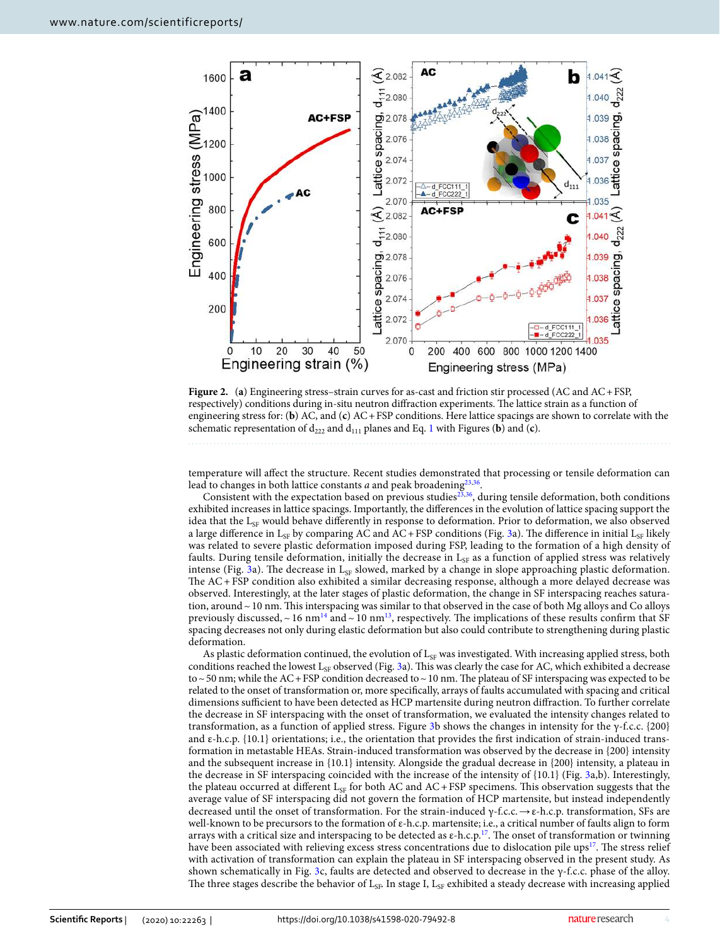

<span id="page-3-0"></span>**Figure 2.** (**a**) Engineering stress–strain curves for as-cast and friction stir processed (AC and AC + FSP, respectively) conditions during in-situ neutron diffraction experiments. The lattice strain as a function of engineering stress for: (**b**) AC, and (**c**) AC + FSP conditions. Here lattice spacings are shown to correlate with the schematic representation of  $d_{222}$  and  $d_{111}$  planes and Eq. [1](#page-2-1) with Figures (**b**) and (**c**).

temperature will affect the structure. Recent studies demonstrated that processing or tensile deformation can lead to changes in both lattice constants  $a$  and peak broadening $^{23,36}.$  $^{23,36}.$  $^{23,36}.$  $^{23,36}.$ 

Consistent with the expectation based on previous studies[23](#page-8-9)[,36](#page-8-18), during tensile deformation, both conditions exhibited increases in lattice spacings. Importantly, the differences in the evolution of lattice spacing support the idea that the  $L_{SF}$  would behave differently in response to deformation. Prior to deformation, we also observed a large difference in L<sub>SF</sub> by comparing AC and AC + FSP conditions (Fig. [3a](#page-4-0)). The difference in initial L<sub>SF</sub> likely was related to severe plastic deformation imposed during FSP, leading to the formation of a high density of faults. During tensile deformation, initially the decrease in  $L_{SF}$  as a function of applied stress was relatively intense (Fig. [3a](#page-4-0)). The decrease in  $L_{SF}$  slowed, marked by a change in slope approaching plastic deformation. The AC + FSP condition also exhibited a similar decreasing response, although a more delayed decrease was observed. Interestingly, at the later stages of plastic deformation, the change in SF interspacing reaches saturation, around ~ 10 nm. This interspacing was similar to that observed in the case of both Mg alloys and Co alloys previously discussed, ~ 16 nm<sup>[14](#page-8-0)</sup> and ~ 10 nm<sup>[13](#page-7-7)</sup>, respectively. The implications of these results confirm that SF spacing decreases not only during elastic deformation but also could contribute to strengthening during plastic deformation.

As plastic deformation continued, the evolution of  $L_{SF}$  was investigated. With increasing applied stress, both conditions reached the lowest  $L_{SF}$  observed (Fig. [3a](#page-4-0)). This was clearly the case for AC, which exhibited a decrease to ~ 50 nm; while the AC + FSP condition decreased to ~ 10 nm. The plateau of SF interspacing was expected to be related to the onset of transformation or, more specifically, arrays of faults accumulated with spacing and critical dimensions sufficient to have been detected as HCP martensite during neutron diffraction. To further correlate the decrease in SF interspacing with the onset of transformation, we evaluated the intensity changes related to transformation, as a function of applied stress. Figure [3b](#page-4-0) shows the changes in intensity for the γ-f.c.c. {200} and ε-h.c.p. {10.1} orientations; i.e., the orientation that provides the first indication of strain-induced transformation in metastable HEAs. Strain-induced transformation was observed by the decrease in {200} intensity and the subsequent increase in {10.1} intensity. Alongside the gradual decrease in {200} intensity, a plateau in the decrease in SF interspacing coincided with the increase of the intensity of {10.1} (Fig. [3a](#page-4-0),b). Interestingly, the plateau occurred at different  $L_{SF}$  for both AC and AC + FSP specimens. This observation suggests that the average value of SF interspacing did not govern the formation of HCP martensite, but instead independently decreased until the onset of transformation. For the strain-induced γ-f.c.c.  $\rightarrow \varepsilon$ -h.c.p. transformation, SFs are well-known to be precursors to the formation of ε-h.c.p. martensite; i.e., a critical number of faults align to form arrays with a critical size and interspacing to be detected as ε-h.c.p.<sup>[17](#page-8-3)</sup>. The onset of transformation or twinning have been associated with relieving excess stress concentrations due to dislocation pile ups<sup>[17](#page-8-3)</sup>. The stress relief with activation of transformation can explain the plateau in SF interspacing observed in the present study. As shown schematically in Fig. [3c](#page-4-0), faults are detected and observed to decrease in the γ-f.c.c. phase of the alloy. The three stages describe the behavior of  $L_{SF}$ . In stage I,  $L_{SF}$  exhibited a steady decrease with increasing applied

4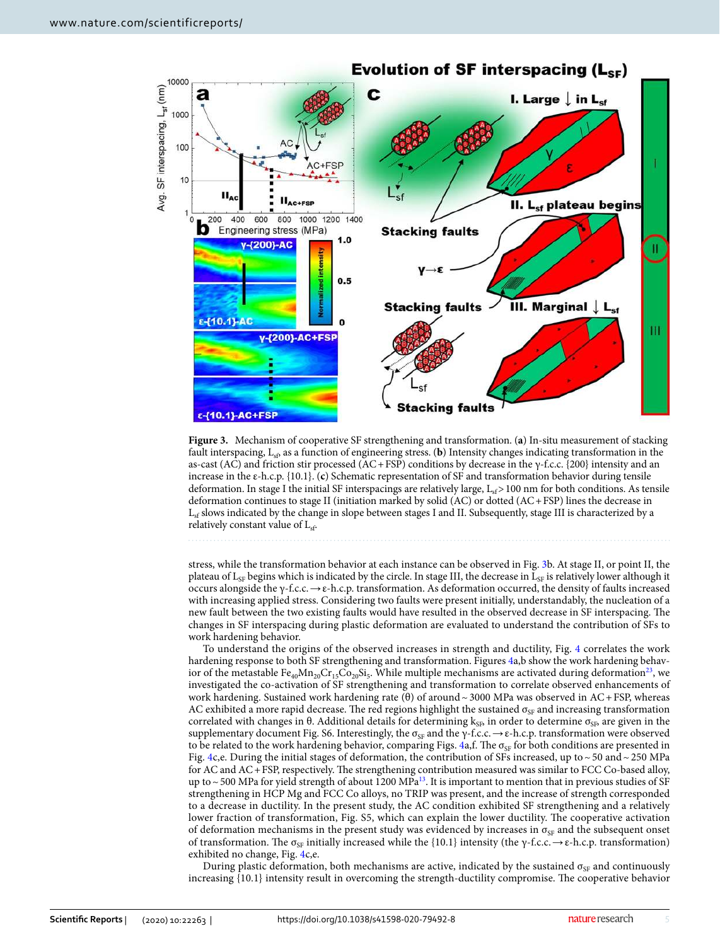

<span id="page-4-0"></span>**Figure 3.** Mechanism of cooperative SF strengthening and transformation. (**a**) In-situ measurement of stacking fault interspacing,  $L_{sb}$  as a function of engineering stress. (**b**) Intensity changes indicating transformation in the as-cast (AC) and friction stir processed (AC + FSP) conditions by decrease in the  $\gamma$ -f.c.c. {200} intensity and an increase in the ε-h.c.p. {10.1}. (**c**) Schematic representation of SF and transformation behavior during tensile deformation. In stage I the initial SF interspacings are relatively large,  $L_{sf} > 100$  nm for both conditions. As tensile deformation continues to stage II (initiation marked by solid (AC) or dotted (AC + FSP) lines the decrease in  $L_{sf}$  slows indicated by the change in slope between stages I and II. Subsequently, stage III is characterized by a relatively constant value of L<sub>sf</sub>.

stress, while the transformation behavior at each instance can be observed in Fig. [3b](#page-4-0). At stage II, or point II, the plateau of  $L_{SF}$  begins which is indicated by the circle. In stage III, the decrease in  $L_{SF}$  is relatively lower although it occurs alongside the γ-f.c.c. → ε-h.c.p. transformation. As deformation occurred, the density of faults increased with increasing applied stress. Considering two faults were present initially, understandably, the nucleation of a new fault between the two existing faults would have resulted in the observed decrease in SF interspacing. The changes in SF interspacing during plastic deformation are evaluated to understand the contribution of SFs to work hardening behavior.

To understand the origins of the observed increases in strength and ductility, Fig. [4](#page-5-0) correlates the work hardening response to both SF strengthening and transformation. Figures [4a](#page-5-0),b show the work hardening behavior of the metastable  $Fe_{40}Mn_{20}Cr_{15}Co_{20}Si_5$ . While multiple mechanisms are activated during deformation<sup>[23](#page-8-9)</sup>, we investigated the co-activation of SF strengthening and transformation to correlate observed enhancements of work hardening. Sustained work hardening rate (θ) of around ~ 3000 MPa was observed in AC + FSP, whereas AC exhibited a more rapid decrease. The red regions highlight the sustained  $\sigma_{SF}$  and increasing transformation correlated with changes in  $\theta$ . Additional details for determining  $k_{\text{SF}}$ , in order to determine  $\sigma_{\text{SF}}$ , are given in the supplementary document Fig. S6. Interestingly, the  $\sigma_{SF}$  and the  $\gamma$ -f.c.c.  $\rightarrow \varepsilon$ -h.c.p. transformation were observed to be related to the work hardening behavior, comparing Figs.  $4a$ ,f. The  $\sigma_{SF}$  for both conditions are presented in Fig. [4](#page-5-0)c,e. During the initial stages of deformation, the contribution of SFs increased, up to  $\sim$  50 and  $\sim$  250 MPa for AC and AC + FSP, respectively. The strengthening contribution measured was similar to FCC Co-based alloy, up to  $\sim$  500 MPa for yield strength of about 1200 MPa<sup>[13](#page-7-7)</sup>. It is important to mention that in previous studies of SF strengthening in HCP Mg and FCC Co alloys, no TRIP was present, and the increase of strength corresponded to a decrease in ductility. In the present study, the AC condition exhibited SF strengthening and a relatively lower fraction of transformation, Fig. S5, which can explain the lower ductility. The cooperative activation of deformation mechanisms in the present study was evidenced by increases in  $\sigma_{SF}$  and the subsequent onset of transformation. The σ<sub>SF</sub> initially increased while the {10.1} intensity (the γ-f.c.c.  $\rightarrow \varepsilon$ -h.c.p. transformation) exhibited no change, Fig. [4c](#page-5-0),e.

During plastic deformation, both mechanisms are active, indicated by the sustained  $\sigma_{SF}$  and continuously increasing {10.1} intensity result in overcoming the strength-ductility compromise. The cooperative behavior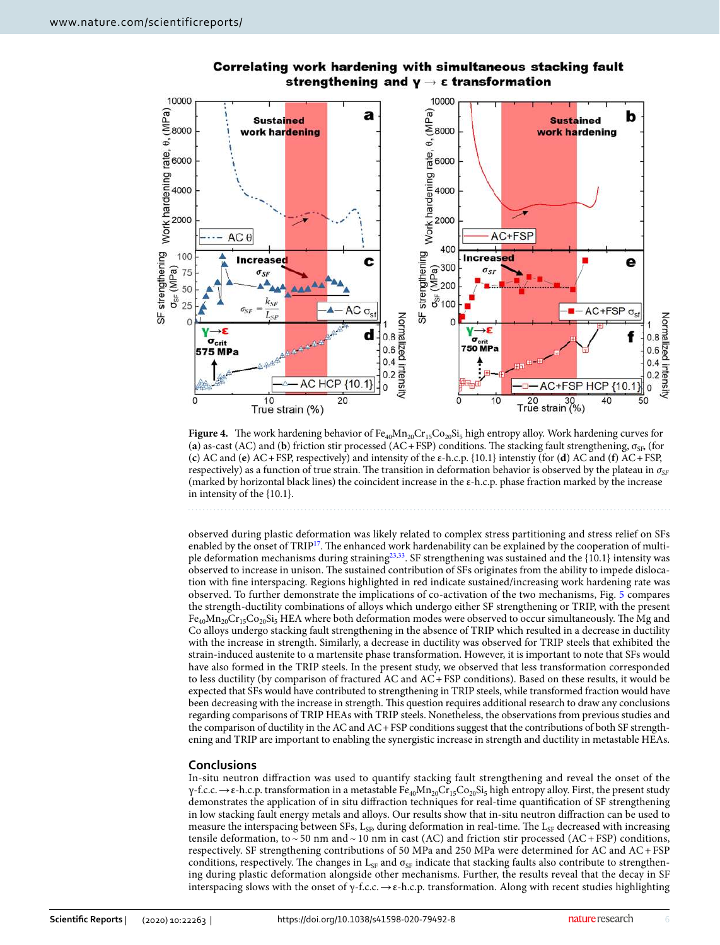

# Correlating work hardening with simultaneous stacking fault strengthening and  $v \rightarrow \epsilon$  transformation

<span id="page-5-0"></span>**Figure 4.** The work hardening behavior of Fe<sub>40</sub>Mn<sub>20</sub>Cr<sub>15</sub>Co<sub>20</sub>Si<sub>5</sub> high entropy alloy. Work hardening curves for (**a**) as-cast (AC) and (**b**) friction stir processed (AC + FSP) conditions. The stacking fault strengthening,  $\sigma_{SP}$  (for (**c**) AC and (**e**) AC + FSP, respectively) and intensity of the ε-h.c.p. {10.1} intenstiy (for (**d**) AC and (**f**) AC + FSP, respectively) as a function of true strain. The transition in deformation behavior is observed by the plateau in  $\sigma_{SE}$ (marked by horizontal black lines) the coincident increase in the ε-h.c.p. phase fraction marked by the increase in intensity of the {10.1}.

observed during plastic deformation was likely related to complex stress partitioning and stress relief on SFs enabled by the onset of TRIP<sup>[17](#page-8-3)</sup>. The enhanced work hardenability can be explained by the cooperation of multi-ple deformation mechanisms during straining<sup>[23](#page-8-9)[,33](#page-8-15)</sup>. SF strengthening was sustained and the  $\{10.1\}$  intensity was observed to increase in unison. The sustained contribution of SFs originates from the ability to impede dislocation with fine interspacing. Regions highlighted in red indicate sustained/increasing work hardening rate was observed. To further demonstrate the implications of co-activation of the two mechanisms, Fig. [5](#page-6-0) compares the strength-ductility combinations of alloys which undergo either SF strengthening or TRIP, with the present  $Fe_{40}Mn_{20}Cr_{15}Co_{20}Si_5$  HEA where both deformation modes were observed to occur simultaneously. The Mg and Co alloys undergo stacking fault strengthening in the absence of TRIP which resulted in a decrease in ductility with the increase in strength. Similarly, a decrease in ductility was observed for TRIP steels that exhibited the strain-induced austenite to α martensite phase transformation. However, it is important to note that SFs would have also formed in the TRIP steels. In the present study, we observed that less transformation corresponded to less ductility (by comparison of fractured AC and AC + FSP conditions). Based on these results, it would be expected that SFs would have contributed to strengthening in TRIP steels, while transformed fraction would have been decreasing with the increase in strength. This question requires additional research to draw any conclusions regarding comparisons of TRIP HEAs with TRIP steels. Nonetheless, the observations from previous studies and the comparison of ductility in the AC and AC + FSP conditions suggest that the contributions of both SF strengthening and TRIP are important to enabling the synergistic increase in strength and ductility in metastable HEAs.

# **Conclusions**

In-situ neutron diffraction was used to quantify stacking fault strengthening and reveal the onset of the γ-f.c.c.  $\to \epsilon$ -h.c.p. transformation in a metastable Fe<sub>40</sub>Mn<sub>20</sub>Cr<sub>15</sub>Co<sub>20</sub>Si<sub>5</sub> high entropy alloy. First, the present study demonstrates the application of in situ diffraction techniques for real-time quantification of SF strengthening in low stacking fault energy metals and alloys. Our results show that in-situ neutron diffraction can be used to measure the interspacing between SFs,  $L_{\text{SB}}$  during deformation in real-time. The  $L_{\text{SF}}$  decreased with increasing tensile deformation, to ~50 nm and ~10 nm in cast (AC) and friction stir processed (AC + FSP) conditions, respectively. SF strengthening contributions of 50 MPa and 250 MPa were determined for AC and AC + FSP conditions, respectively. The changes in  $L_{SF}$  and  $\sigma_{SF}$  indicate that stacking faults also contribute to strengthening during plastic deformation alongside other mechanisms. Further, the results reveal that the decay in SF interspacing slows with the onset of  $\gamma$ -f.c.c.  $\rightarrow$  ε-h.c.p. transformation. Along with recent studies highlighting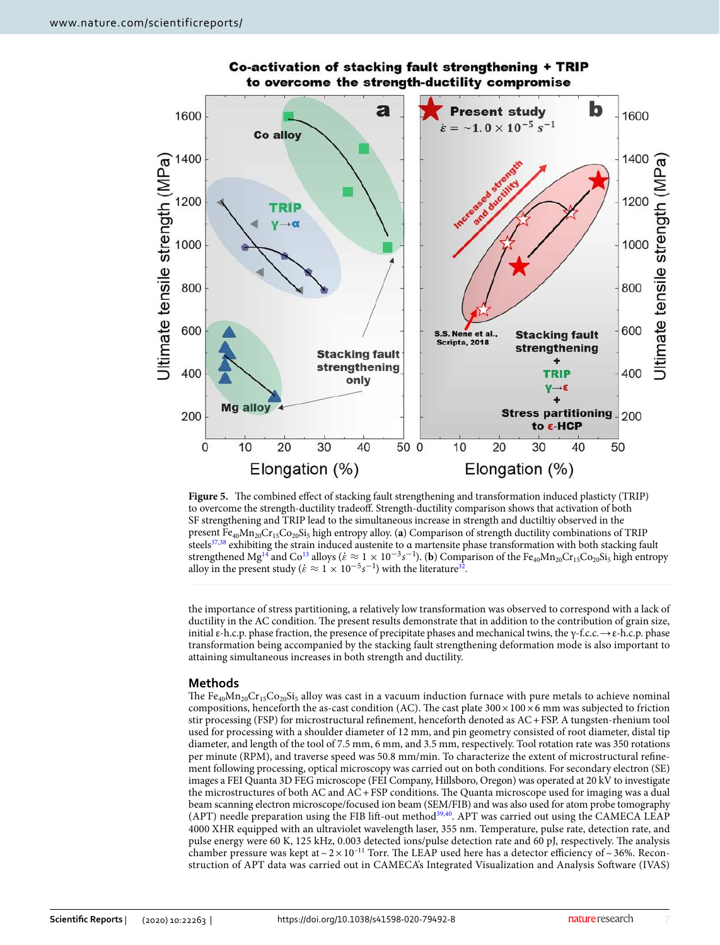

# Co-activation of stacking fault strengthening + TRIP to overcome the strength-ductility compromise

<span id="page-6-0"></span>**Figure 5.** The combined effect of stacking fault strengthening and transformation induced plasticty (TRIP) to overcome the strength-ductility tradeoff. Strength-ductility comparison shows that activation of both SF strengthening and TRIP lead to the simultaneous increase in strength and ductiltiy observed in the present Fe<sub>40</sub>Mn<sub>20</sub>Cr<sub>15</sub>Co<sub>20</sub>Si<sub>5</sub> high entropy alloy. (**a**) Comparison of strength ductility combinations of TRIP steels<sup>[37](#page-8-21),[38](#page-8-22)</sup> exhibiting the strain induced austenite to  $\alpha$  martensite phase transformation with both stacking fault strengthened Mg<sup>[14](#page-8-0)</sup> and Co<sup>[13](#page-7-7)</sup> alloys ( $\dot{\varepsilon} \approx 1 \times 10^{-3} s^{-1}$ ). (**b**) Comparison of the Fe<sub>40</sub>Mn<sub>20</sub>Cr<sub>15</sub>Co<sub>20</sub>Si<sub>5</sub> high entropy alloy in the present study ( $\dot{\epsilon} \approx 1 \times 10^{-5} s^{-1}$ ) with the literature<sup>[32](#page-8-14)</sup>.

the importance of stress partitioning, a relatively low transformation was observed to correspond with a lack of ductility in the AC condition. The present results demonstrate that in addition to the contribution of grain size, initial ε-h.c.p. phase fraction, the presence of precipitate phases and mechanical twins, the γ-f.c.c.  $\rightarrow \varepsilon$ -h.c.p. phase transformation being accompanied by the stacking fault strengthening deformation mode is also important to attaining simultaneous increases in both strength and ductility.

# **Methods**

The  $Fe_{40}Mn_{20}Cr_{15}Co_{20}Si_5$  alloy was cast in a vacuum induction furnace with pure metals to achieve nominal compositions, henceforth the as-cast condition (AC). The cast plate  $300 \times 100 \times 6$  mm was subjected to friction stir processing (FSP) for microstructural refinement, henceforth denoted as AC + FSP. A tungsten-rhenium tool used for processing with a shoulder diameter of 12 mm, and pin geometry consisted of root diameter, distal tip diameter, and length of the tool of 7.5 mm, 6 mm, and 3.5 mm, respectively. Tool rotation rate was 350 rotations per minute (RPM), and traverse speed was 50.8 mm/min. To characterize the extent of microstructural refinement following processing, optical microscopy was carried out on both conditions. For secondary electron (SE) images a FEI Quanta 3D FEG microscope (FEI Company, Hillsboro, Oregon) was operated at 20 kV to investigate the microstructures of both AC and AC + FSP conditions. The Quanta microscope used for imaging was a dual beam scanning electron microscope/focused ion beam (SEM/FIB) and was also used for atom probe tomography (APT) needle preparation using the FIB lift-out method<sup>[39,](#page-8-19)[40](#page-8-20)</sup>. APT was carried out using the CAMECA LEAP 4000 XHR equipped with an ultraviolet wavelength laser, 355 nm. Temperature, pulse rate, detection rate, and pulse energy were 60 K, 125 kHz, 0.003 detected ions/pulse detection rate and 60 pJ, respectively. The analysis chamber pressure was kept at  $\sim 2 \times 10^{-11}$  Torr. The LEAP used here has a detector efficiency of  $\sim 36\%$ . Reconstruction of APT data was carried out in CAMECA's Integrated Visualization and Analysis Software (IVAS)

7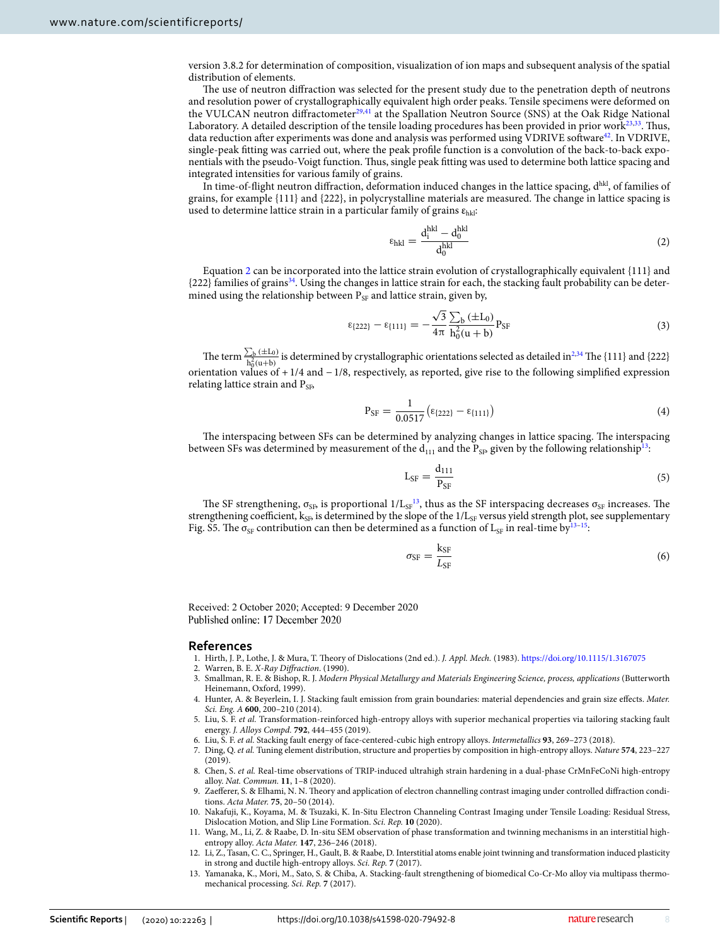version 3.8.2 for determination of composition, visualization of ion maps and subsequent analysis of the spatial distribution of elements.

The use of neutron diffraction was selected for the present study due to the penetration depth of neutrons and resolution power of crystallographically equivalent high order peaks. Tensile specimens were deformed on the VULCAN neutron diffractometer<sup>[29](#page-8-11),[41](#page-8-23)</sup> at the Spallation Neutron Source (SNS) at the Oak Ridge National Laboratory. A detailed description of the tensile loading procedures has been provided in prior work $23,33$  $23,33$  $23,33$ . Thus, data reduction after experiments was done and analysis was performed using VDRIVE software<sup>[42](#page-8-24)</sup>. In VDRIVE, single-peak fitting was carried out, where the peak profile function is a convolution of the back-to-back exponentials with the pseudo-Voigt function. Thus, single peak fitting was used to determine both lattice spacing and integrated intensities for various family of grains.

In time-of-flight neutron diffraction, deformation induced changes in the lattice spacing,  $d^{hkl}$ , of families of grains, for example {111} and {222}, in polycrystalline materials are measured. The change in lattice spacing is used to determine lattice strain in a particular family of grains  $\varepsilon_{hkl}$ :

<span id="page-7-8"></span>
$$
\varepsilon_{\rm hkl} = \frac{d_i^{\rm hkl} - d_0^{\rm hkl}}{d_0^{\rm hkl}}\tag{2}
$$

Equation [2](#page-7-8) can be incorporated into the lattice strain evolution of crystallographically equivalent {111} and  ${222}$  families of grains<sup>[34](#page-8-16)</sup>. Using the changes in lattice strain for each, the stacking fault probability can be determined using the relationship between  $P_{SF}$  and lattice strain, given by,

$$
\epsilon_{\{222\}} - \epsilon_{\{111\}} = -\frac{\sqrt{3}}{4\pi} \frac{\sum_{b} (\pm L_0)}{h_0^2 (u+b)} P_{SF}
$$
 (3)

The term  $\frac{\sum_{b} (\pm L_0)}{h^2 (x + b)}$  $\frac{D_b (\pm L_0)}{h_0^2(u+b)}$  $\frac{D_b (\pm L_0)}{h_0^2(u+b)}$  $\frac{D_b (\pm L_0)}{h_0^2(u+b)}$  is determined by crystallographic orientations selected as detailed in<sup>2,[34](#page-8-16)</sup> The {111} and {222} orientation values of + 1/4 and − 1/8, respectively, as reported, give rise to the following simplified expression relating lattice strain and  $P_{SB}$ 

$$
P_{SF} = \frac{1}{0.0517} (\epsilon_{\{222\}} - \epsilon_{\{111\}})
$$
\n(4)

The interspacing between SFs can be determined by analyzing changes in lattice spacing. The interspacing between SFs was determined by measurement of the  $d_{111}$  and the P<sub>SB</sub> given by the following relationship<sup>[13](#page-7-7)</sup>:

$$
L_{SF} = \frac{d_{111}}{P_{SF}}\tag{5}
$$

The SF strengthening,  $\sigma_{\rm SB}$  is proportional  $1/L_{\rm SF}^{13}$  $1/L_{\rm SF}^{13}$  $1/L_{\rm SF}^{13}$ , thus as the SF interspacing decreases  $\sigma_{\rm SF}$  increases. The strengthening coefficient,  $k_{SP}$  is determined by the slope of the  $1/L_{SF}$  versus yield strength plot, see supplementary Fig. S5. The  $\sigma_{\rm SF}$  contribution can then be determined as a function of L<sub>SF</sub> in real-time by<sup>[13](#page-7-7)[–15](#page-8-1)</sup>:

$$
\sigma_{\rm SF} = \frac{\rm k_{SF}}{L_{\rm SF}}\tag{6}
$$

Received: 2 October 2020; Accepted: 9 December 2020 Published online: 17 December 2020

### **References**

- <span id="page-7-0"></span>1. Hirth, J. P., Lothe, J. & Mura, T. Theory of Dislocations (2nd ed.). J. Appl. Mech. (1983). [https ://doi.org/10.1115/1.31670 75](https://doi.org/10.1115/1.3167075)
- <span id="page-7-9"></span>2. Warren, B. E. X-Ray Diffraction. (1990).
- <span id="page-7-1"></span>3. Smallman, R. E. & Bishop, R. J. Modern Physical Metallurgy and Materials Engineering Science, process, applications (Butterworth Heinemann, Oxford, 1999).
- <span id="page-7-2"></span>4. Hunter, A. & Beyerlein, I. J. Stacking fault emission from grain boundaries: material dependencies and grain size effects. Mater. Sci. Eng. A **600**, 200–210 (2014).
- <span id="page-7-3"></span>5. Liu, S. F. et al. Transformation-reinforced high-entropy alloys with superior mechanical properties via tailoring stacking fault energy. J. Alloys Compd. **792**, 444–455 (2019).
- 6. Liu, S. F. et al. Stacking fault energy of face-centered-cubic high entropy alloys. Intermetallics **93**, 269–273 (2018).
- 7. Ding, Q. et al. Tuning element distribution, structure and properties by composition in high-entropy alloys. Nature **574**, 223–227 (2019).
- <span id="page-7-4"></span>8. Chen, S. et al. Real-time observations of TRIP-induced ultrahigh strain hardening in a dual-phase CrMnFeCoNi high-entropy alloy. Nat. Commun. **11**, 1–8 (2020).
- <span id="page-7-5"></span> 9. Zaefferer, S. & Elhami, N. N. Theory and application of electron channelling contrast imaging under controlled diffraction conditions. Acta Mater. **75**, 20–50 (2014).
- 10. Nakafuji, K., Koyama, M. & Tsuzaki, K. In-Situ Electron Channeling Contrast Imaging under Tensile Loading: Residual Stress, Dislocation Motion, and Slip Line Formation. Sci. Rep. **10** (2020).
- 11. Wang, M., Li, Z. & Raabe, D. In-situ SEM observation of phase transformation and twinning mechanisms in an interstitial highentropy alloy. Acta Mater. **147**, 236–246 (2018).
- <span id="page-7-6"></span> 12. Li, Z., Tasan, C. C., Springer, H., Gault, B. & Raabe, D. Interstitial atoms enable joint twinning and transformation induced plasticity in strong and ductile high-entropy alloys. Sci. Rep. **7** (2017).
- <span id="page-7-7"></span> 13. Yamanaka, K., Mori, M., Sato, S. & Chiba, A. Stacking-fault strengthening of biomedical Co-Cr-Mo alloy via multipass thermomechanical processing. Sci. Rep. **7** (2017).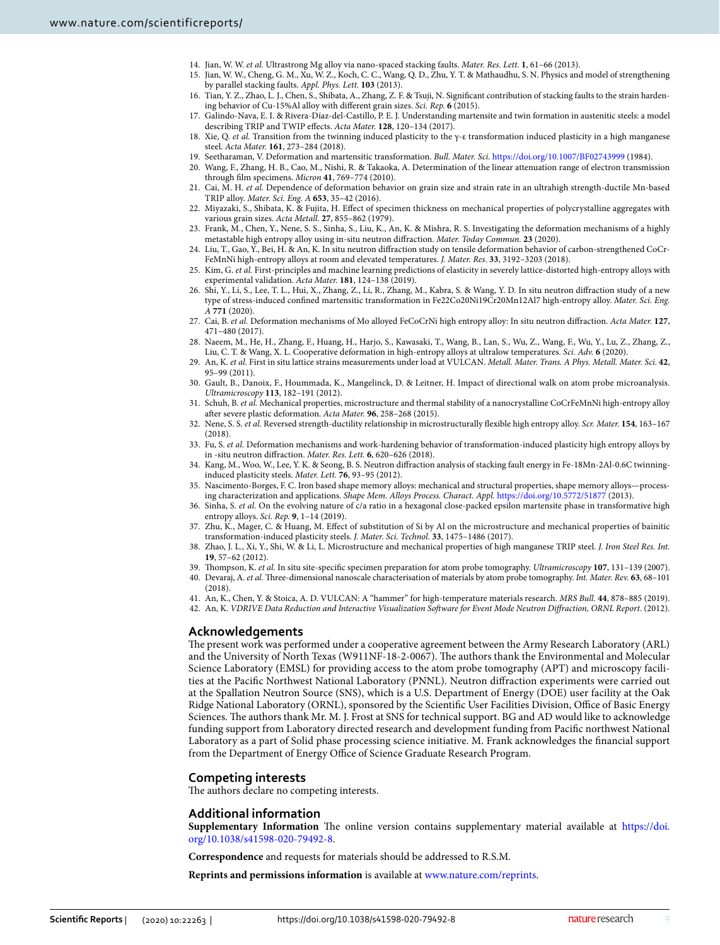- <span id="page-8-0"></span>14. Jian, W. W. et al. Ultrastrong Mg alloy via nano-spaced stacking faults. Mater. Res. Lett. **1**, 61–66 (2013).
- <span id="page-8-1"></span> 15. Jian, W. W., Cheng, G. M., Xu, W. Z., Koch, C. C., Wang, Q. D., Zhu, Y. T. & Mathaudhu, S. N. Physics and model of strengthening by parallel stacking faults. Appl. Phys. Lett. **103** (2013).
- <span id="page-8-2"></span> 16. Tian, Y. Z., Zhao, L. J., Chen, S., Shibata, A., Zhang, Z. F. & Tsuji, N. Significant contribution of stacking faults to the strain hardening behavior of Cu-15%Al alloy with different grain sizes. Sci. Rep. **6** (2015).
- <span id="page-8-3"></span> 17. Galindo-Nava, E. I. & Rivera-Díaz-del-Castillo, P. E. J. Understanding martensite and twin formation in austenitic steels: a model describing TRIP and TWIP effects. Acta Mater. **128**, 120–134 (2017).
- <span id="page-8-4"></span>18. Xie, Q. et al. Transition from the twinning induced plasticity to the γ-ε transformation induced plasticity in a high manganese steel. Acta Mater. **161**, 273–284 (2018).
- <span id="page-8-5"></span>19. Seetharaman, V. Deformation and martensitic transformation. Bull. Mater. Sci. [https ://doi.org/10.1007/BF027 43999](https://doi.org/10.1007/BF02743999)(1984).
- <span id="page-8-6"></span> 20. Wang, F., Zhang, H. B., Cao, M., Nishi, R. & Takaoka, A. Determination of the linear attenuation range of electron transmission through film specimens. Micron **41**, 769–774 (2010).
- <span id="page-8-7"></span> 21. Cai, M. H. et al. Dependence of deformation behavior on grain size and strain rate in an ultrahigh strength-ductile Mn-based TRIP alloy. Mater. Sci. Eng. A **653**, 35–42 (2016).
- <span id="page-8-8"></span> 22. Miyazaki, S., Shibata, K. & Fujita, H. Effect of specimen thickness on mechanical properties of polycrystalline aggregates with various grain sizes. Acta Metall. **27**, 855–862 (1979).
- <span id="page-8-9"></span> 23. Frank, M., Chen, Y., Nene, S. S., Sinha, S., Liu, K., An, K. & Mishra, R. S. Investigating the deformation mechanisms of a highly metastable high entropy alloy using in-situ neutron diffraction. Mater. Today Commun. **23** (2020).
- 24. Liu, T., Gao, Y., Bei, H. & An, K. In situ neutron diffraction study on tensile deformation behavior of carbon-strengthened CoCr-FeMnNi high-entropy alloys at room and elevated temperatures. J. Mater. Res. **33**, 3192–3203 (2018).
- 25. Kim, G. et al. First-principles and machine learning predictions of elasticity in severely lattice-distorted high-entropy alloys with experimental validation. Acta Mater. **181**, 124–138 (2019).
- 26. Shi, Y., Li, S., Lee, T. L., Hui, X., Zhang, Z., Li, R., Zhang, M., Kabra, S. & Wang, Y. D. In situ neutron diffraction study of a new type of stress-induced confined martensitic transformation in Fe22Co20Ni19Cr20Mn12Al7 high-entropy alloy. Mater. Sci. Eng. A **771** (2020).
- 27. Cai, B. et al. Deformation mechanisms of Mo alloyed FeCoCrNi high entropy alloy: In situ neutron diffraction. Acta Mater. **127**, 471–480 (2017).
- <span id="page-8-10"></span> 28. Naeem, M., He, H., Zhang, F., Huang, H., Harjo, S., Kawasaki, T., Wang, B., Lan, S., Wu, Z., Wang, F., Wu, Y., Lu, Z., Zhang, Z., Liu, C. T. & Wang, X. L. Cooperative deformation in high-entropy alloys at ultralow temperatures. Sci. Adv. **6** (2020).
- <span id="page-8-11"></span> 29. An, K. et al. First in situ lattice strains measurements under load at VULCAN. Metall. Mater. Trans. A Phys. Metall. Mater. Sci. **42**, 95–99 (2011).
- <span id="page-8-12"></span> 30. Gault, B., Danoix, F., Hoummada, K., Mangelinck, D. & Leitner, H. Impact of directional walk on atom probe microanalysis. Ultramicroscopy **113**, 182–191 (2012).
- <span id="page-8-13"></span>31. Schuh, B. et al. Mechanical properties, microstructure and thermal stability of a nanocrystalline CoCrFeMnNi high-entropy alloy after severe plastic deformation. Acta Mater. **96**, 258–268 (2015).
- <span id="page-8-14"></span> 32. Nene, S. S. et al. Reversed strength-ductility relationship in microstructurally flexible high entropy alloy. Scr. Mater. **154**, 163–167 (2018).
- <span id="page-8-15"></span>33. Fu, S. et al. Deformation mechanisms and work-hardening behavior of transformation-induced plasticity high entropy alloys by in -situ neutron diffraction. Mater. Res. Lett. **6**, 620–626 (2018).
- <span id="page-8-16"></span> 34. Kang, M., Woo, W., Lee, Y. K. & Seong, B. S. Neutron diffraction analysis of stacking fault energy in Fe-18Mn-2Al-0.6C twinninginduced plasticity steels. Mater. Lett. **76**, 93–95 (2012).
- <span id="page-8-17"></span> 35. Nascimento-Borges, F. C. Iron based shape memory alloys: mechanical and structural properties, shape memory alloys—processing characterization and applications. Shape Mem. Alloys Process. Charact. Appl. https://doi.org/10.5772/51877 (2013).
- <span id="page-8-18"></span>36. Sinha, S. et al. On the evolving nature of c/a ratio in a hexagonal close-packed epsilon martensite phase in transformative high entropy alloys. Sci. Rep. **9**, 1–14 (2019).
- <span id="page-8-21"></span> 37. Zhu, K., Mager, C. & Huang, M. Effect of substitution of Si by Al on the microstructure and mechanical properties of bainitic transformation-induced plasticity steels. J. Mater. Sci. Technol. **33**, 1475–1486 (2017).
- <span id="page-8-22"></span>38. Zhao, J. L., Xi, Y., Shi, W. & Li, L. Microstructure and mechanical properties of high manganese TRIP steel. J. Iron Steel Res. Int. **19**, 57–62 (2012).
- <span id="page-8-20"></span><span id="page-8-19"></span> 39. Thompson, K. et al. In situ site-specific specimen preparation for atom probe tomography. Ultramicroscopy **107**, 131–139 (2007). 40. Devaraj, A. et al. Three-dimensional nanoscale characterisation of materials by atom probe tomography. Int. Mater. Rev. **63**, 68–101
- (2018). 41. An, K., Chen, Y. & Stoica, A. D. VULCAN: A "hammer" for high-temperature materials research. MRS Bull. **44**, 878–885 (2019).
- <span id="page-8-24"></span><span id="page-8-23"></span>42. An, K. VDRIVE Data Reduction and Interactive Visualization Software for Event Mode Neutron Diffraction, ORNL Report. (2012).

### **Acknowledgements**

The present work was performed under a cooperative agreement between the Army Research Laboratory (ARL) and the University of North Texas (W911NF-18-2-0067). The authors thank the Environmental and Molecular Science Laboratory (EMSL) for providing access to the atom probe tomography (APT) and microscopy facilities at the Pacific Northwest National Laboratory (PNNL). Neutron diffraction experiments were carried out at the Spallation Neutron Source (SNS), which is a U.S. Department of Energy (DOE) user facility at the Oak Ridge National Laboratory (ORNL), sponsored by the Scientific User Facilities Division, Office of Basic Energy Sciences. The authors thank Mr. M. J. Frost at SNS for technical support. BG and AD would like to acknowledge funding support from Laboratory directed research and development funding from Pacific northwest National Laboratory as a part of Solid phase processing science initiative. M. Frank acknowledges the financial support from the Department of Energy Office of Science Graduate Research Program.

# **Competing interests**

The authors declare no competing interests.

### **Additional information**

**Supplementary Information** The online version contains supplementary material available at https://doi. org/10.1038/s41598-020-79492-8.

**Correspondence** and requests for materials should be addressed to R.S.M.

**Reprints and permissions information** is available at [www.nature.com/reprints.](www.nature.com/reprints)